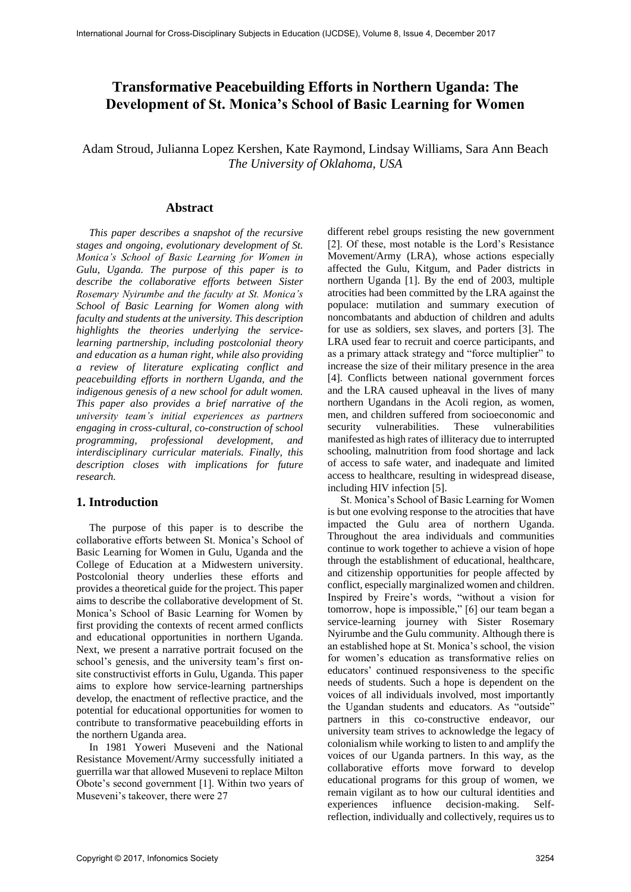# **Transformative Peacebuilding Efforts in Northern Uganda: The Development of St. Monica's School of Basic Learning for Women**

Adam Stroud, Julianna Lopez Kershen, Kate Raymond, Lindsay Williams, Sara Ann Beach *The University of Oklahoma, USA*

#### **Abstract**

*This paper describes a snapshot of the recursive stages and ongoing, evolutionary development of St. Monica's School of Basic Learning for Women in Gulu, Uganda. The purpose of this paper is to describe the collaborative efforts between Sister Rosemary Nyirumbe and the faculty at St. Monica's School of Basic Learning for Women along with faculty and students at the university. This description highlights the theories underlying the servicelearning partnership, including postcolonial theory and education as a human right, while also providing a review of literature explicating conflict and peacebuilding efforts in northern Uganda, and the indigenous genesis of a new school for adult women. This paper also provides a brief narrative of the university team's initial experiences as partners engaging in cross-cultural, co-construction of school programming, professional development, and interdisciplinary curricular materials. Finally, this description closes with implications for future research.*

### **1. Introduction**

The purpose of this paper is to describe the collaborative efforts between St. Monica's School of Basic Learning for Women in Gulu, Uganda and the College of Education at a Midwestern university. Postcolonial theory underlies these efforts and provides a theoretical guide for the project. This paper aims to describe the collaborative development of St. Monica's School of Basic Learning for Women by first providing the contexts of recent armed conflicts and educational opportunities in northern Uganda. Next, we present a narrative portrait focused on the school's genesis, and the university team's first onsite constructivist efforts in Gulu, Uganda. This paper aims to explore how service-learning partnerships develop, the enactment of reflective practice, and the potential for educational opportunities for women to contribute to transformative peacebuilding efforts in the northern Uganda area.

In 1981 Yoweri Museveni and the National Resistance Movement/Army successfully initiated a guerrilla war that allowed Museveni to replace Milton Obote's second government [1]. Within two years of Museveni's takeover, there were 27

different rebel groups resisting the new government [2]. Of these, most notable is the Lord's Resistance Movement/Army (LRA), whose actions especially affected the Gulu, Kitgum, and Pader districts in northern Uganda [1]. By the end of 2003, multiple atrocities had been committed by the LRA against the populace: mutilation and summary execution of noncombatants and abduction of children and adults for use as soldiers, sex slaves, and porters [3]. The LRA used fear to recruit and coerce participants, and as a primary attack strategy and "force multiplier" to increase the size of their military presence in the area [4]. Conflicts between national government forces and the LRA caused upheaval in the lives of many northern Ugandans in the Acoli region, as women, men, and children suffered from socioeconomic and security vulnerabilities. These vulnerabilities manifested as high rates of illiteracy due to interrupted schooling, malnutrition from food shortage and lack of access to safe water, and inadequate and limited access to healthcare, resulting in widespread disease, including HIV infection [5].

St. Monica's School of Basic Learning for Women is but one evolving response to the atrocities that have impacted the Gulu area of northern Uganda. Throughout the area individuals and communities continue to work together to achieve a vision of hope through the establishment of educational, healthcare, and citizenship opportunities for people affected by conflict, especially marginalized women and children. Inspired by Freire's words, "without a vision for tomorrow, hope is impossible," [6] our team began a service-learning journey with Sister Rosemary Nyirumbe and the Gulu community. Although there is an established hope at St. Monica's school, the vision for women's education as transformative relies on educators' continued responsiveness to the specific needs of students. Such a hope is dependent on the voices of all individuals involved, most importantly the Ugandan students and educators. As "outside" partners in this co-constructive endeavor, our university team strives to acknowledge the legacy of colonialism while working to listen to and amplify the voices of our Uganda partners. In this way, as the collaborative efforts move forward to develop educational programs for this group of women, we remain vigilant as to how our cultural identities and experiences influence decision-making. Selfreflection, individually and collectively, requires us to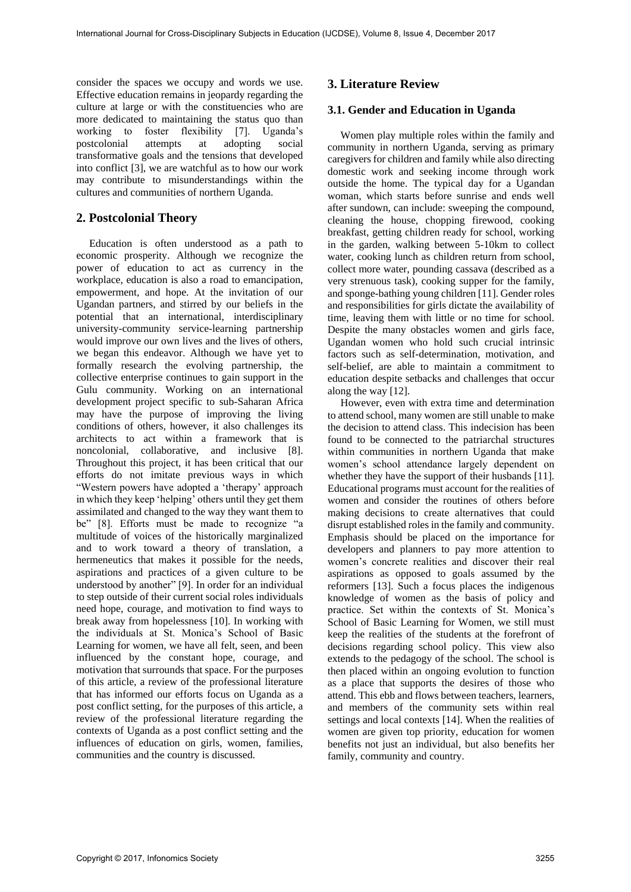consider the spaces we occupy and words we use. Effective education remains in jeopardy regarding the culture at large or with the constituencies who are more dedicated to maintaining the status quo than working to foster flexibility [7]. Uganda's postcolonial attempts at adopting social transformative goals and the tensions that developed into conflict [3], we are watchful as to how our work may contribute to misunderstandings within the cultures and communities of northern Uganda.

# **2. Postcolonial Theory**

Education is often understood as a path to economic prosperity. Although we recognize the power of education to act as currency in the workplace, education is also a road to emancipation, empowerment, and hope. At the invitation of our Ugandan partners, and stirred by our beliefs in the potential that an international, interdisciplinary university-community service-learning partnership would improve our own lives and the lives of others, we began this endeavor. Although we have yet to formally research the evolving partnership, the collective enterprise continues to gain support in the Gulu community. Working on an international development project specific to sub-Saharan Africa may have the purpose of improving the living conditions of others, however, it also challenges its architects to act within a framework that is noncolonial, collaborative, and inclusive [8]. Throughout this project, it has been critical that our efforts do not imitate previous ways in which "Western powers have adopted a 'therapy' approach in which they keep 'helping' others until they get them assimilated and changed to the way they want them to be" [8]. Efforts must be made to recognize "a multitude of voices of the historically marginalized and to work toward a theory of translation, a hermeneutics that makes it possible for the needs, aspirations and practices of a given culture to be understood by another" [9]. In order for an individual to step outside of their current social roles individuals need hope, courage, and motivation to find ways to break away from hopelessness [10]. In working with the individuals at St. Monica's School of Basic Learning for women, we have all felt, seen, and been influenced by the constant hope, courage, and motivation that surrounds that space. For the purposes of this article, a review of the professional literature that has informed our efforts focus on Uganda as a post conflict setting, for the purposes of this article, a review of the professional literature regarding the contexts of Uganda as a post conflict setting and the influences of education on girls, women, families, communities and the country is discussed.

# **3. Literature Review**

### **3.1. Gender and Education in Uganda**

Women play multiple roles within the family and community in northern Uganda, serving as primary caregivers for children and family while also directing domestic work and seeking income through work outside the home. The typical day for a Ugandan woman, which starts before sunrise and ends well after sundown, can include: sweeping the compound, cleaning the house, chopping firewood, cooking breakfast, getting children ready for school, working in the garden, walking between 5-10km to collect water, cooking lunch as children return from school, collect more water, pounding cassava (described as a very strenuous task), cooking supper for the family, and sponge-bathing young children [11]. Gender roles and responsibilities for girls dictate the availability of time, leaving them with little or no time for school. Despite the many obstacles women and girls face, Ugandan women who hold such crucial intrinsic factors such as self-determination, motivation, and self-belief, are able to maintain a commitment to education despite setbacks and challenges that occur along the way [12].

However, even with extra time and determination to attend school, many women are still unable to make the decision to attend class. This indecision has been found to be connected to the patriarchal structures within communities in northern Uganda that make women's school attendance largely dependent on whether they have the support of their husbands [11]. Educational programs must account for the realities of women and consider the routines of others before making decisions to create alternatives that could disrupt established roles in the family and community. Emphasis should be placed on the importance for developers and planners to pay more attention to women's concrete realities and discover their real aspirations as opposed to goals assumed by the reformers [13]. Such a focus places the indigenous knowledge of women as the basis of policy and practice. Set within the contexts of St. Monica's School of Basic Learning for Women, we still must keep the realities of the students at the forefront of decisions regarding school policy. This view also extends to the pedagogy of the school. The school is then placed within an ongoing evolution to function as a place that supports the desires of those who attend. This ebb and flows between teachers, learners, and members of the community sets within real settings and local contexts [14]. When the realities of women are given top priority, education for women benefits not just an individual, but also benefits her family, community and country.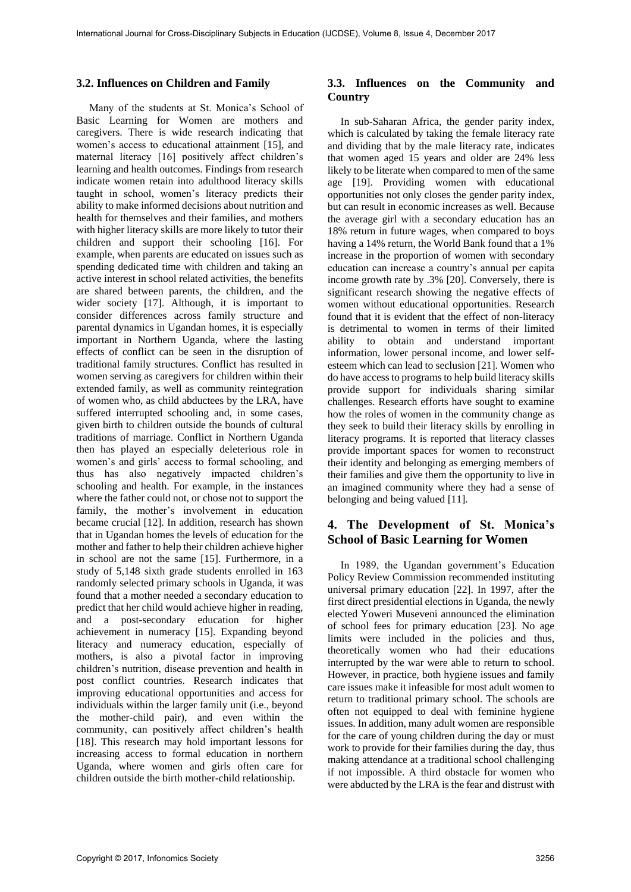#### **3.2. Influences on Children and Family**

Many of the students at St. Monica's School of Basic Learning for Women are mothers and caregivers. There is wide research indicating that women's access to educational attainment [15], and maternal literacy [16] positively affect children's learning and health outcomes. Findings from research indicate women retain into adulthood literacy skills taught in school, women's literacy predicts their ability to make informed decisions about nutrition and health for themselves and their families, and mothers with higher literacy skills are more likely to tutor their children and support their schooling [16]. For example, when parents are educated on issues such as spending dedicated time with children and taking an active interest in school related activities, the benefits are shared between parents, the children, and the wider society [17]. Although, it is important to consider differences across family structure and parental dynamics in Ugandan homes, it is especially important in Northern Uganda, where the lasting effects of conflict can be seen in the disruption of traditional family structures. Conflict has resulted in women serving as caregivers for children within their extended family, as well as community reintegration of women who, as child abductees by the LRA, have suffered interrupted schooling and, in some cases, given birth to children outside the bounds of cultural traditions of marriage. Conflict in Northern Uganda then has played an especially deleterious role in women's and girls' access to formal schooling, and thus has also negatively impacted children's schooling and health. For example, in the instances where the father could not, or chose not to support the family, the mother's involvement in education became crucial [12]. In addition, research has shown that in Ugandan homes the levels of education for the mother and father to help their children achieve higher in school are not the same [15]. Furthermore, in a study of 5,148 sixth grade students enrolled in 163 randomly selected primary schools in Uganda, it was found that a mother needed a secondary education to predict that her child would achieve higher in reading, and a post-secondary education for higher achievement in numeracy [15]. Expanding beyond literacy and numeracy education, especially of mothers, is also a pivotal factor in improving children's nutrition, disease prevention and health in post conflict countries. Research indicates that improving educational opportunities and access for individuals within the larger family unit (i.e., beyond the mother-child pair), and even within the community, can positively affect children's health [18]. This research may hold important lessons for increasing access to formal education in northern Uganda, where women and girls often care for children outside the birth mother-child relationship.

### **3.3. Influences on the Community and Country**

In sub-Saharan Africa, the gender parity index, which is calculated by taking the female literacy rate and dividing that by the male literacy rate, indicates that women aged 15 years and older are 24% less likely to be literate when compared to men of the same age [19]. Providing women with educational opportunities not only closes the gender parity index, but can result in economic increases as well. Because the average girl with a secondary education has an 18% return in future wages, when compared to boys having a 14% return, the World Bank found that a 1% increase in the proportion of women with secondary education can increase a country's annual per capita income growth rate by .3% [20]. Conversely, there is significant research showing the negative effects of women without educational opportunities. Research found that it is evident that the effect of non-literacy is detrimental to women in terms of their limited ability to obtain and understand important information, lower personal income, and lower selfesteem which can lead to seclusion [21]. Women who do have access to programs to help build literacy skills provide support for individuals sharing similar challenges. Research efforts have sought to examine how the roles of women in the community change as they seek to build their literacy skills by enrolling in literacy programs. It is reported that literacy classes provide important spaces for women to reconstruct their identity and belonging as emerging members of their families and give them the opportunity to live in an imagined community where they had a sense of belonging and being valued [11].

# **4. The Development of St. Monica's School of Basic Learning for Women**

In 1989, the Ugandan government's Education Policy Review Commission recommended instituting universal primary education [22]. In 1997, after the first direct presidential elections in Uganda, the newly elected Yoweri Museveni announced the elimination of school fees for primary education [23]. No age limits were included in the policies and thus, theoretically women who had their educations interrupted by the war were able to return to school. However, in practice, both hygiene issues and family care issues make it infeasible for most adult women to return to traditional primary school. The schools are often not equipped to deal with feminine hygiene issues. In addition, many adult women are responsible for the care of young children during the day or must work to provide for their families during the day, thus making attendance at a traditional school challenging if not impossible. A third obstacle for women who were abducted by the LRA is the fear and distrust with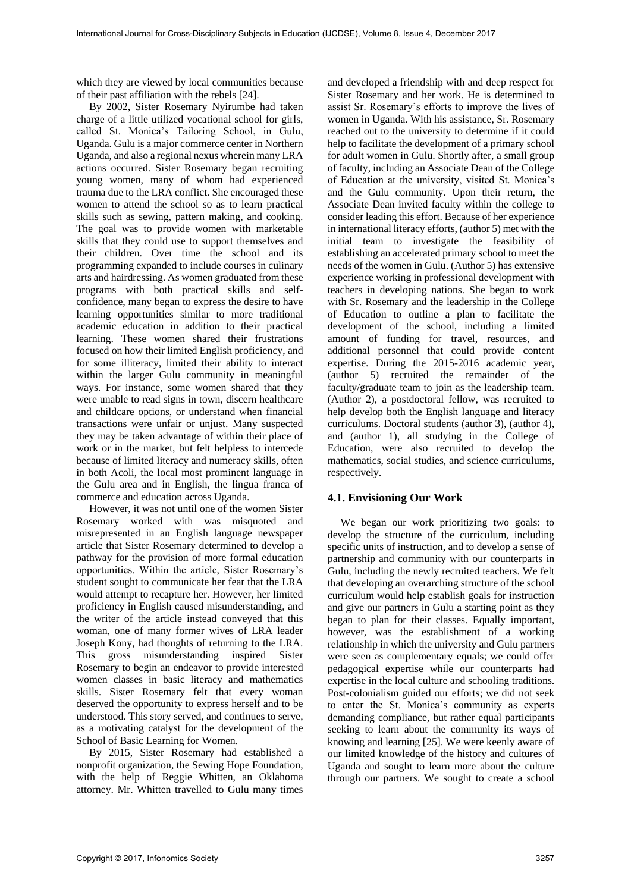which they are viewed by local communities because of their past affiliation with the rebels [24].

By 2002, Sister Rosemary Nyirumbe had taken charge of a little utilized vocational school for girls, called St. Monica's Tailoring School, in Gulu, Uganda. Gulu is a major commerce center in Northern Uganda, and also a regional nexus wherein many LRA actions occurred. Sister Rosemary began recruiting young women, many of whom had experienced trauma due to the LRA conflict. She encouraged these women to attend the school so as to learn practical skills such as sewing, pattern making, and cooking. The goal was to provide women with marketable skills that they could use to support themselves and their children. Over time the school and its programming expanded to include courses in culinary arts and hairdressing. As women graduated from these programs with both practical skills and selfconfidence, many began to express the desire to have learning opportunities similar to more traditional academic education in addition to their practical learning. These women shared their frustrations focused on how their limited English proficiency, and for some illiteracy, limited their ability to interact within the larger Gulu community in meaningful ways. For instance, some women shared that they were unable to read signs in town, discern healthcare and childcare options, or understand when financial transactions were unfair or unjust. Many suspected they may be taken advantage of within their place of work or in the market, but felt helpless to intercede because of limited literacy and numeracy skills, often in both Acoli, the local most prominent language in the Gulu area and in English, the lingua franca of commerce and education across Uganda.

However, it was not until one of the women Sister Rosemary worked with was misquoted and misrepresented in an English language newspaper article that Sister Rosemary determined to develop a pathway for the provision of more formal education opportunities. Within the article, Sister Rosemary's student sought to communicate her fear that the LRA would attempt to recapture her. However, her limited proficiency in English caused misunderstanding, and the writer of the article instead conveyed that this woman, one of many former wives of LRA leader Joseph Kony, had thoughts of returning to the LRA. This gross misunderstanding inspired Sister Rosemary to begin an endeavor to provide interested women classes in basic literacy and mathematics skills. Sister Rosemary felt that every woman deserved the opportunity to express herself and to be understood. This story served, and continues to serve, as a motivating catalyst for the development of the School of Basic Learning for Women.

By 2015, Sister Rosemary had established a nonprofit organization, the Sewing Hope Foundation, with the help of Reggie Whitten, an Oklahoma attorney. Mr. Whitten travelled to Gulu many times

and developed a friendship with and deep respect for Sister Rosemary and her work. He is determined to assist Sr. Rosemary's efforts to improve the lives of women in Uganda. With his assistance, Sr. Rosemary reached out to the university to determine if it could help to facilitate the development of a primary school for adult women in Gulu. Shortly after, a small group of faculty, including an Associate Dean of the College of Education at the university, visited St. Monica's and the Gulu community. Upon their return, the Associate Dean invited faculty within the college to consider leading this effort. Because of her experience in international literacy efforts, (author 5) met with the initial team to investigate the feasibility of establishing an accelerated primary school to meet the needs of the women in Gulu. (Author 5) has extensive experience working in professional development with teachers in developing nations. She began to work with Sr. Rosemary and the leadership in the College of Education to outline a plan to facilitate the development of the school, including a limited amount of funding for travel, resources, and additional personnel that could provide content expertise. During the 2015-2016 academic year, (author 5) recruited the remainder of the faculty/graduate team to join as the leadership team. (Author 2), a postdoctoral fellow, was recruited to help develop both the English language and literacy curriculums. Doctoral students (author 3), (author 4), and (author 1), all studying in the College of Education, were also recruited to develop the mathematics, social studies, and science curriculums, respectively.

### **4.1. Envisioning Our Work**

We began our work prioritizing two goals: to develop the structure of the curriculum, including specific units of instruction, and to develop a sense of partnership and community with our counterparts in Gulu, including the newly recruited teachers. We felt that developing an overarching structure of the school curriculum would help establish goals for instruction and give our partners in Gulu a starting point as they began to plan for their classes. Equally important, however, was the establishment of a working relationship in which the university and Gulu partners were seen as complementary equals; we could offer pedagogical expertise while our counterparts had expertise in the local culture and schooling traditions. Post-colonialism guided our efforts; we did not seek to enter the St. Monica's community as experts demanding compliance, but rather equal participants seeking to learn about the community its ways of knowing and learning [25]. We were keenly aware of our limited knowledge of the history and cultures of Uganda and sought to learn more about the culture through our partners. We sought to create a school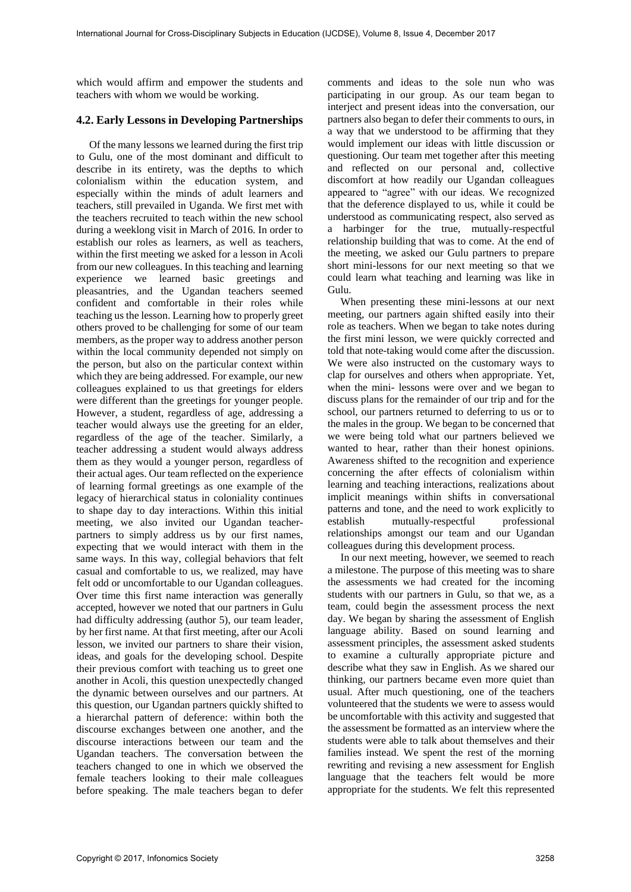which would affirm and empower the students and teachers with whom we would be working.

#### **4.2. Early Lessons in Developing Partnerships**

Of the many lessons we learned during the first trip to Gulu, one of the most dominant and difficult to describe in its entirety, was the depths to which colonialism within the education system, and especially within the minds of adult learners and teachers, still prevailed in Uganda. We first met with the teachers recruited to teach within the new school during a weeklong visit in March of 2016. In order to establish our roles as learners, as well as teachers, within the first meeting we asked for a lesson in Acoli from our new colleagues. In this teaching and learning experience we learned basic greetings and pleasantries, and the Ugandan teachers seemed confident and comfortable in their roles while teaching us the lesson. Learning how to properly greet others proved to be challenging for some of our team members, as the proper way to address another person within the local community depended not simply on the person, but also on the particular context within which they are being addressed. For example, our new colleagues explained to us that greetings for elders were different than the greetings for younger people. However, a student, regardless of age, addressing a teacher would always use the greeting for an elder, regardless of the age of the teacher. Similarly, a teacher addressing a student would always address them as they would a younger person, regardless of their actual ages. Our team reflected on the experience of learning formal greetings as one example of the legacy of hierarchical status in coloniality continues to shape day to day interactions. Within this initial meeting, we also invited our Ugandan teacherpartners to simply address us by our first names, expecting that we would interact with them in the same ways. In this way, collegial behaviors that felt casual and comfortable to us, we realized, may have felt odd or uncomfortable to our Ugandan colleagues. Over time this first name interaction was generally accepted, however we noted that our partners in Gulu had difficulty addressing (author 5), our team leader, by her first name. At that first meeting, after our Acoli lesson, we invited our partners to share their vision, ideas, and goals for the developing school. Despite their previous comfort with teaching us to greet one another in Acoli, this question unexpectedly changed the dynamic between ourselves and our partners. At this question, our Ugandan partners quickly shifted to a hierarchal pattern of deference: within both the discourse exchanges between one another, and the discourse interactions between our team and the Ugandan teachers. The conversation between the teachers changed to one in which we observed the female teachers looking to their male colleagues before speaking. The male teachers began to defer

comments and ideas to the sole nun who was participating in our group. As our team began to interject and present ideas into the conversation, our partners also began to defer their comments to ours, in a way that we understood to be affirming that they would implement our ideas with little discussion or questioning. Our team met together after this meeting and reflected on our personal and, collective discomfort at how readily our Ugandan colleagues appeared to "agree" with our ideas. We recognized that the deference displayed to us, while it could be understood as communicating respect, also served as a harbinger for the true, mutually-respectful relationship building that was to come. At the end of the meeting, we asked our Gulu partners to prepare short mini-lessons for our next meeting so that we could learn what teaching and learning was like in Gulu.

When presenting these mini-lessons at our next meeting, our partners again shifted easily into their role as teachers. When we began to take notes during the first mini lesson, we were quickly corrected and told that note-taking would come after the discussion. We were also instructed on the customary ways to clap for ourselves and others when appropriate. Yet, when the mini- lessons were over and we began to discuss plans for the remainder of our trip and for the school, our partners returned to deferring to us or to the males in the group. We began to be concerned that we were being told what our partners believed we wanted to hear, rather than their honest opinions. Awareness shifted to the recognition and experience concerning the after effects of colonialism within learning and teaching interactions, realizations about implicit meanings within shifts in conversational patterns and tone, and the need to work explicitly to establish mutually-respectful professional relationships amongst our team and our Ugandan colleagues during this development process.

In our next meeting, however, we seemed to reach a milestone. The purpose of this meeting was to share the assessments we had created for the incoming students with our partners in Gulu, so that we, as a team, could begin the assessment process the next day. We began by sharing the assessment of English language ability. Based on sound learning and assessment principles, the assessment asked students to examine a culturally appropriate picture and describe what they saw in English. As we shared our thinking, our partners became even more quiet than usual. After much questioning, one of the teachers volunteered that the students we were to assess would be uncomfortable with this activity and suggested that the assessment be formatted as an interview where the students were able to talk about themselves and their families instead. We spent the rest of the morning rewriting and revising a new assessment for English language that the teachers felt would be more appropriate for the students. We felt this represented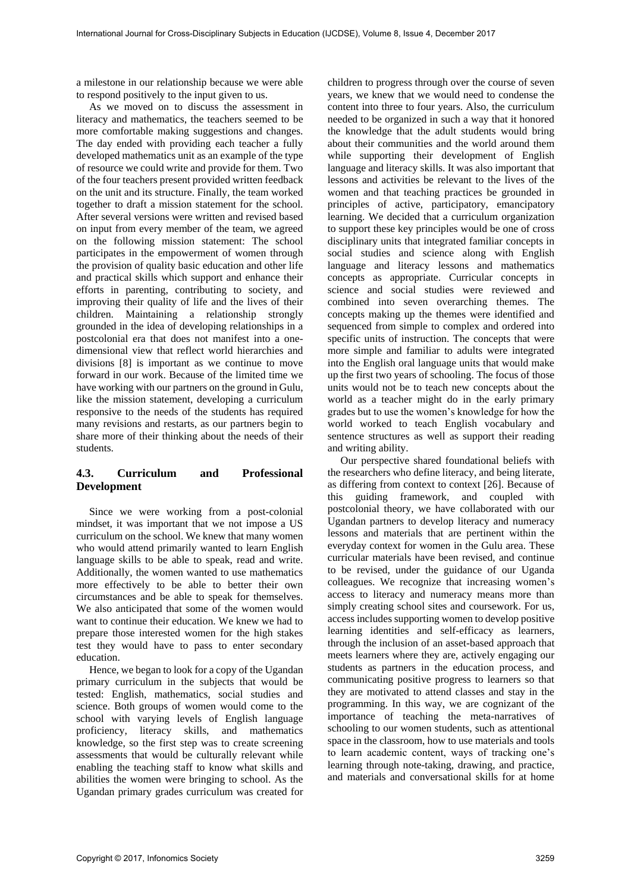a milestone in our relationship because we were able to respond positively to the input given to us.

As we moved on to discuss the assessment in literacy and mathematics, the teachers seemed to be more comfortable making suggestions and changes. The day ended with providing each teacher a fully developed mathematics unit as an example of the type of resource we could write and provide for them. Two of the four teachers present provided written feedback on the unit and its structure. Finally, the team worked together to draft a mission statement for the school. After several versions were written and revised based on input from every member of the team, we agreed on the following mission statement: The school participates in the empowerment of women through the provision of quality basic education and other life and practical skills which support and enhance their efforts in parenting, contributing to society, and improving their quality of life and the lives of their children. Maintaining a relationship strongly grounded in the idea of developing relationships in a postcolonial era that does not manifest into a onedimensional view that reflect world hierarchies and divisions [8] is important as we continue to move forward in our work. Because of the limited time we have working with our partners on the ground in Gulu, like the mission statement, developing a curriculum responsive to the needs of the students has required many revisions and restarts, as our partners begin to share more of their thinking about the needs of their students.

# **4.3. Curriculum and Professional Development**

Since we were working from a post-colonial mindset, it was important that we not impose a US curriculum on the school. We knew that many women who would attend primarily wanted to learn English language skills to be able to speak, read and write. Additionally, the women wanted to use mathematics more effectively to be able to better their own circumstances and be able to speak for themselves. We also anticipated that some of the women would want to continue their education. We knew we had to prepare those interested women for the high stakes test they would have to pass to enter secondary education.

Hence, we began to look for a copy of the Ugandan primary curriculum in the subjects that would be tested: English, mathematics, social studies and science. Both groups of women would come to the school with varying levels of English language proficiency, literacy skills, and mathematics knowledge, so the first step was to create screening assessments that would be culturally relevant while enabling the teaching staff to know what skills and abilities the women were bringing to school. As the Ugandan primary grades curriculum was created for

children to progress through over the course of seven years, we knew that we would need to condense the content into three to four years. Also, the curriculum needed to be organized in such a way that it honored the knowledge that the adult students would bring about their communities and the world around them while supporting their development of English language and literacy skills. It was also important that lessons and activities be relevant to the lives of the women and that teaching practices be grounded in principles of active, participatory, emancipatory learning. We decided that a curriculum organization to support these key principles would be one of cross disciplinary units that integrated familiar concepts in social studies and science along with English language and literacy lessons and mathematics concepts as appropriate. Curricular concepts in science and social studies were reviewed and combined into seven overarching themes. The concepts making up the themes were identified and sequenced from simple to complex and ordered into specific units of instruction. The concepts that were more simple and familiar to adults were integrated into the English oral language units that would make up the first two years of schooling. The focus of those units would not be to teach new concepts about the world as a teacher might do in the early primary grades but to use the women's knowledge for how the world worked to teach English vocabulary and sentence structures as well as support their reading and writing ability.

Our perspective shared foundational beliefs with the researchers who define literacy, and being literate, as differing from context to context [26]. Because of this guiding framework, and coupled with postcolonial theory, we have collaborated with our Ugandan partners to develop literacy and numeracy lessons and materials that are pertinent within the everyday context for women in the Gulu area. These curricular materials have been revised, and continue to be revised, under the guidance of our Uganda colleagues. We recognize that increasing women's access to literacy and numeracy means more than simply creating school sites and coursework. For us, access includes supporting women to develop positive learning identities and self-efficacy as learners, through the inclusion of an asset-based approach that meets learners where they are, actively engaging our students as partners in the education process, and communicating positive progress to learners so that they are motivated to attend classes and stay in the programming. In this way, we are cognizant of the importance of teaching the meta-narratives of schooling to our women students, such as attentional space in the classroom, how to use materials and tools to learn academic content, ways of tracking one's learning through note-taking, drawing, and practice, and materials and conversational skills for at home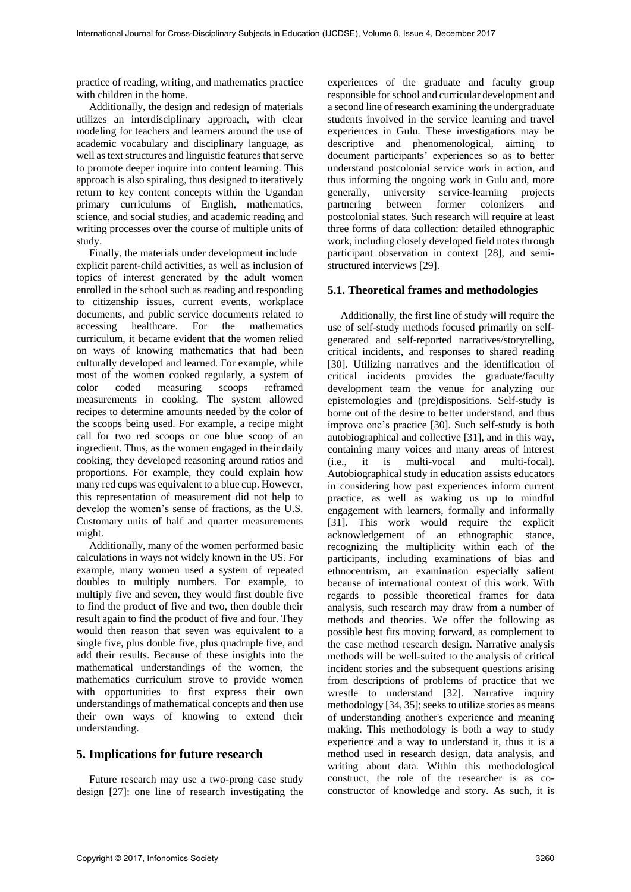practice of reading, writing, and mathematics practice with children in the home.

Additionally, the design and redesign of materials utilizes an interdisciplinary approach, with clear modeling for teachers and learners around the use of academic vocabulary and disciplinary language, as well as text structures and linguistic features that serve to promote deeper inquire into content learning. This approach is also spiraling, thus designed to iteratively return to key content concepts within the Ugandan primary curriculums of English, mathematics, science, and social studies, and academic reading and writing processes over the course of multiple units of study.

Finally, the materials under development include explicit parent-child activities, as well as inclusion of topics of interest generated by the adult women enrolled in the school such as reading and responding to citizenship issues, current events, workplace documents, and public service documents related to accessing healthcare. For the mathematics curriculum, it became evident that the women relied on ways of knowing mathematics that had been culturally developed and learned. For example, while most of the women cooked regularly, a system of color coded measuring scoops reframed measurements in cooking. The system allowed recipes to determine amounts needed by the color of the scoops being used. For example, a recipe might call for two red scoops or one blue scoop of an ingredient. Thus, as the women engaged in their daily cooking, they developed reasoning around ratios and proportions. For example, they could explain how many red cups was equivalent to a blue cup. However, this representation of measurement did not help to develop the women's sense of fractions, as the U.S. Customary units of half and quarter measurements might.

Additionally, many of the women performed basic calculations in ways not widely known in the US. For example, many women used a system of repeated doubles to multiply numbers. For example, to multiply five and seven, they would first double five to find the product of five and two, then double their result again to find the product of five and four. They would then reason that seven was equivalent to a single five, plus double five, plus quadruple five, and add their results. Because of these insights into the mathematical understandings of the women, the mathematics curriculum strove to provide women with opportunities to first express their own understandings of mathematical concepts and then use their own ways of knowing to extend their understanding.

### **5. Implications for future research**

Future research may use a two-prong case study design [27]: one line of research investigating the experiences of the graduate and faculty group responsible for school and curricular development and a second line of research examining the undergraduate students involved in the service learning and travel experiences in Gulu. These investigations may be descriptive and phenomenological, aiming to document participants' experiences so as to better understand postcolonial service work in action, and thus informing the ongoing work in Gulu and, more generally, university service-learning projects partnering between former colonizers and postcolonial states. Such research will require at least three forms of data collection: detailed ethnographic work, including closely developed field notes through participant observation in context [28], and semistructured interviews [29].

### **5.1. Theoretical frames and methodologies**

Additionally, the first line of study will require the use of self-study methods focused primarily on selfgenerated and self-reported narratives/storytelling, critical incidents, and responses to shared reading [30]. Utilizing narratives and the identification of critical incidents provides the graduate/faculty development team the venue for analyzing our epistemologies and (pre)dispositions. Self-study is borne out of the desire to better understand, and thus improve one's practice [30]. Such self-study is both autobiographical and collective [31], and in this way, containing many voices and many areas of interest (i.e., it is multi-vocal and multi-focal). Autobiographical study in education assists educators in considering how past experiences inform current practice, as well as waking us up to mindful engagement with learners, formally and informally [31]. This work would require the explicit acknowledgement of an ethnographic stance, recognizing the multiplicity within each of the participants, including examinations of bias and ethnocentrism, an examination especially salient because of international context of this work. With regards to possible theoretical frames for data analysis, such research may draw from a number of methods and theories. We offer the following as possible best fits moving forward, as complement to the case method research design. Narrative analysis methods will be well-suited to the analysis of critical incident stories and the subsequent questions arising from descriptions of problems of practice that we wrestle to understand [32]. Narrative inquiry methodology [34, 35]; seeks to utilize stories as means of understanding another's experience and meaning making. This methodology is both a way to study experience and a way to understand it, thus it is a method used in research design, data analysis, and writing about data. Within this methodological construct, the role of the researcher is as coconstructor of knowledge and story. As such, it is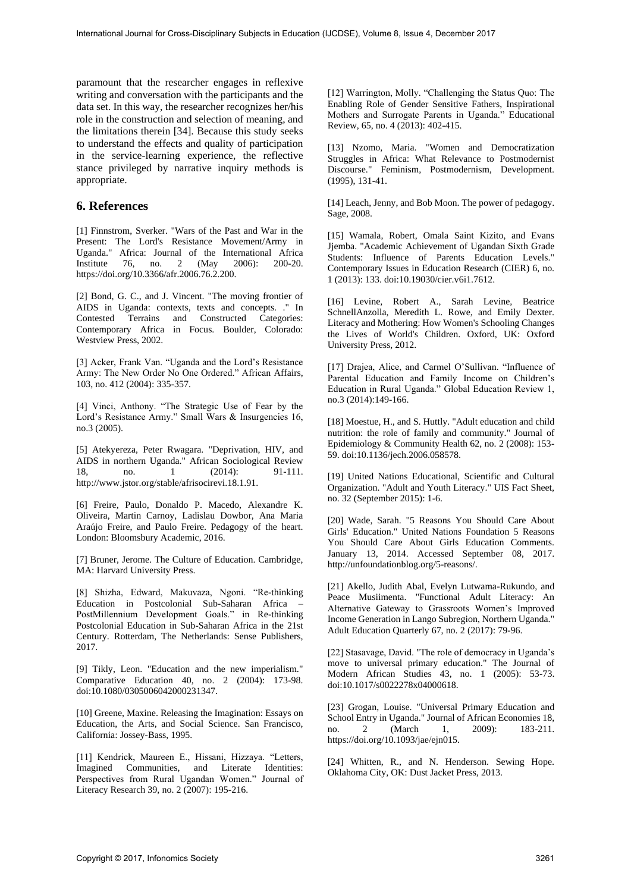paramount that the researcher engages in reflexive writing and conversation with the participants and the data set. In this way, the researcher recognizes her/his role in the construction and selection of meaning, and the limitations therein [34]. Because this study seeks to understand the effects and quality of participation in the service-learning experience, the reflective stance privileged by narrative inquiry methods is appropriate.

### **6. References**

[1] Finnstrom, Sverker. "Wars of the Past and War in the Present: The Lord's Resistance Movement/Army in Uganda." Africa: Journal of the International Africa Institute 76, no. 2 (May 2006): 200-20. https://doi.org/10.3366/afr.2006.76.2.200.

[2] Bond, G. C., and J. Vincent. "The moving frontier of AIDS in Uganda: contexts, texts and concepts. ." In Contested Terrains and Constructed Categories: Contemporary Africa in Focus. Boulder, Colorado: Westview Press, 2002.

[3] Acker, Frank Van. "Uganda and the Lord's Resistance Army: The New Order No One Ordered." African Affairs, 103, no. 412 (2004): 335-357.

[4] Vinci, Anthony. "The Strategic Use of Fear by the Lord's Resistance Army." Small Wars & Insurgencies 16, no.3 (2005).

[5] Atekyereza, Peter Rwagara. "Deprivation, HIV, and AIDS in northern Uganda." African Sociological Review 18, no. 1 (2014): 91-111. http://www.jstor.org/stable/afrisocirevi.18.1.91.

[6] Freire, Paulo, Donaldo P. Macedo, Alexandre K. Oliveira, Martin Carnoy, Ladislau Dowbor, Ana Maria Araújo Freire, and Paulo Freire. Pedagogy of the heart. London: Bloomsbury Academic, 2016.

[7] Bruner, Jerome. The Culture of Education. Cambridge, MA: Harvard University Press.

[8] Shizha, Edward, Makuvaza, Ngoni. "Re-thinking Education in Postcolonial Sub-Saharan Africa – PostMillennium Development Goals." in Re-thinking Postcolonial Education in Sub-Saharan Africa in the 21st Century. Rotterdam, The Netherlands: Sense Publishers, 2017.

[9] Tikly, Leon. "Education and the new imperialism." Comparative Education 40, no. 2 (2004): 173-98. doi:10.1080/0305006042000231347.

[10] Greene, Maxine. Releasing the Imagination: Essays on Education, the Arts, and Social Science. San Francisco, California: Jossey-Bass, 1995.

[11] Kendrick, Maureen E., Hissani, Hizzaya. "Letters, Imagined Communities, and Literate Identities: Perspectives from Rural Ugandan Women." Journal of Literacy Research 39, no. 2 (2007): 195-216.

[12] Warrington, Molly. "Challenging the Status Quo: The Enabling Role of Gender Sensitive Fathers, Inspirational Mothers and Surrogate Parents in Uganda." Educational Review, 65, no. 4 (2013): 402-415.

[13] Nzomo, Maria. "Women and Democratization Struggles in Africa: What Relevance to Postmodernist Discourse." Feminism, Postmodernism, Development. (1995), 131-41.

[14] Leach, Jenny, and Bob Moon. The power of pedagogy. Sage, 2008.

[15] Wamala, Robert, Omala Saint Kizito, and Evans Jjemba. "Academic Achievement of Ugandan Sixth Grade Students: Influence of Parents Education Levels." Contemporary Issues in Education Research (CIER) 6, no. 1 (2013): 133. doi:10.19030/cier.v6i1.7612.

[16] Levine, Robert A., Sarah Levine, Beatrice SchnellAnzolla, Meredith L. Rowe, and Emily Dexter. Literacy and Mothering: How Women's Schooling Changes the Lives of World's Children. Oxford, UK: Oxford University Press, 2012.

[17] Drajea, Alice, and Carmel O'Sullivan. "Influence of Parental Education and Family Income on Children's Education in Rural Uganda." Global Education Review 1, no.3 (2014):149-166.

[18] Moestue, H., and S. Huttly. "Adult education and child nutrition: the role of family and community." Journal of Epidemiology & Community Health 62, no. 2 (2008): 153- 59. doi:10.1136/jech.2006.058578.

[19] United Nations Educational, Scientific and Cultural Organization. "Adult and Youth Literacy." UIS Fact Sheet, no. 32 (September 2015): 1-6.

[20] Wade, Sarah. "5 Reasons You Should Care About Girls' Education." United Nations Foundation 5 Reasons You Should Care About Girls Education Comments. January 13, 2014. Accessed September 08, 2017. http://unfoundationblog.org/5-reasons/.

[21] Akello, Judith Abal, Evelyn Lutwama-Rukundo, and Peace Musiimenta. "Functional Adult Literacy: An Alternative Gateway to Grassroots Women's Improved Income Generation in Lango Subregion, Northern Uganda." Adult Education Quarterly 67, no. 2 (2017): 79-96.

[22] Stasavage, David. "The role of democracy in Uganda's move to universal primary education." The Journal of Modern African Studies 43, no. 1 (2005): 53-73. doi:10.1017/s0022278x04000618.

[23] Grogan, Louise. "Universal Primary Education and School Entry in Uganda." Journal of African Economies 18, no. 2 (March 1, 2009): 183-211. https://doi.org/10.1093/jae/ejn015.

[24] Whitten, R., and N. Henderson. Sewing Hope. Oklahoma City, OK: Dust Jacket Press, 2013.